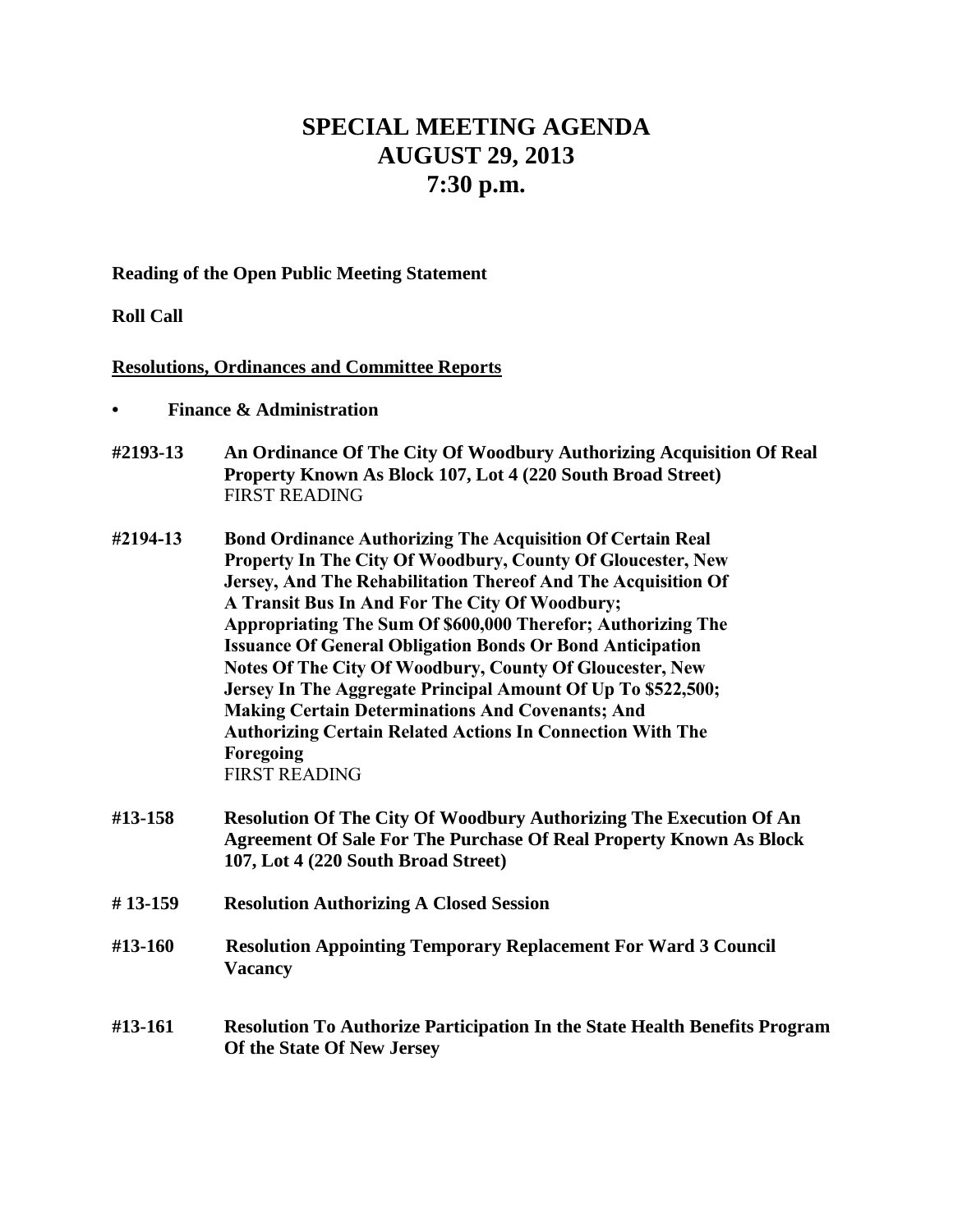## **SPECIAL MEETING AGENDA AUGUST 29, 2013 7:30 p.m.**

**Reading of the Open Public Meeting Statement**

**Roll Call**

## **Resolutions, Ordinances and Committee Reports**

- **• Finance & Administration**
- **#2193-13 An Ordinance Of The City Of Woodbury Authorizing Acquisition Of Real Property Known As Block 107, Lot 4 (220 South Broad Street)** FIRST READING
- **#2194-13 Bond Ordinance Authorizing The Acquisition Of Certain Real Property In The City Of Woodbury, County Of Gloucester, New Jersey, And The Rehabilitation Thereof And The Acquisition Of A Transit Bus In And For The City Of Woodbury; Appropriating The Sum Of \$600,000 Therefor; Authorizing The Issuance Of General Obligation Bonds Or Bond Anticipation Notes Of The City Of Woodbury, County Of Gloucester, New Jersey In The Aggregate Principal Amount Of Up To \$522,500; Making Certain Determinations And Covenants; And Authorizing Certain Related Actions In Connection With The Foregoing** FIRST READING
- **#13-158 Resolution Of The City Of Woodbury Authorizing The Execution Of An Agreement Of Sale For The Purchase Of Real Property Known As Block 107, Lot 4 (220 South Broad Street)**
- **# 13-159 Resolution Authorizing A Closed Session**
- **#13-160 Resolution Appointing Temporary Replacement For Ward 3 Council Vacancy**
- **#13-161 Resolution To Authorize Participation In the State Health Benefits Program Of the State Of New Jersey**